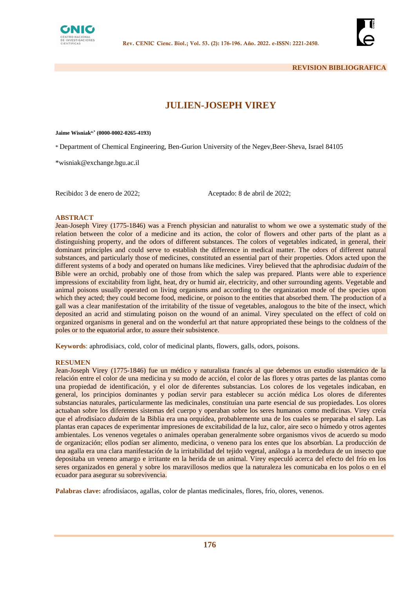



# **JULIEN-JOSEPH VIREY**

#### **Jaime Wisniaka,\* (0000-0002-0265-4193)**

\* Department of Chemical Engineering, Ben-Gurion University of the Negev,Beer-Sheva, Israel 84105

[\\*wisniak@exchange.bgu.ac.il](mailto:wisniak@bgu.ac.il)

Recibido: 3 de enero de 2022; Aceptado: 8 de abril de 2022;

#### **ABSTRACT**

Jean-Joseph Virey (1775-1846) was a French physician and naturalist to whom we owe a systematic study of the relation between the color of a medicine and its action, the color of flowers and other parts of the plant as a distinguishing property, and the odors of different substances. The colors of vegetables indicated, in general, their dominant principles and could serve to establish the difference in medical matter. The odors of different natural substances, and particularly those of medicines, constituted an essential part of their properties. Odors acted upon the different systems of a body and operated on humans like medicines. Virey believed that the aphrodisiac *dudaim* of the Bible were an orchid, probably one of those from which the salep was prepared. Plants were able to experience impressions of excitability from light, heat, dry or humid air, electricity, and other surrounding agents. Vegetable and animal poisons usually operated on living organisms and according to the organization mode of the species upon which they acted; they could become food, medicine, or poison to the entities that absorbed them. The production of a gall was a clear manifestation of the irritability of the tissue of vegetables, analogous to the bite of the insect, which deposited an acrid and stimulating poison on the wound of an animal. Virey speculated on the effect of cold on organized organisms in general and on the wonderful art that nature appropriated these beings to the coldness of the poles or to the equatorial ardor, to assure their subsistence.

**Keywords**: aphrodisiacs, cold, color of medicinal plants, flowers, galls, odors, poisons.

#### **RESUMEN**

Jean-Joseph Virey (1775-1846) fue un médico y naturalista francés al que debemos un estudio sistemático de la relación entre el color de una medicina y su modo de acción, el color de las flores y otras partes de las plantas como una propiedad de identificación, y el olor de diferentes substancias. Los colores de los vegetales indicaban, en general, los principios dominantes y podían servir para establecer su acción médica Los olores de diferentes substancias naturales, particularmente las medicinales, constituían una parte esencial de sus propiedades. Los olores actuaban sobre los diferentes sistemas del cuerpo y operaban sobre los seres humanos como medicinas. Virey creía que el afrodisíaco *dudaim* de la Biblia era una orquídea, probablemente una de los cuales se preparaba el salep. Las plantas eran capaces de experimentar impresiones de excitabilidad de la luz, calor, aire seco o húmedo y otros agentes ambientales. Los venenos vegetales o animales operaban generalmente sobre organismos vivos de acuerdo su modo de organización; ellos podían ser alimento, medicina, o veneno para los entes que los absorbían. La producción de una agalla era una clara manifestación de la irritabilidad del tejido vegetal, análoga a la mordedura de un insecto que depositaba un veneno amargo e irritante en la herida de un animal. Virey especuló acerca del efecto del frío en los seres organizados en general y sobre los maravillosos medios que la naturaleza les comunicaba en los polos o en el ecuador para asegurar su sobrevivencia.

**Palabras clave:** afrodisíacos, agallas, color de plantas medicinales, flores, frio, olores, venenos.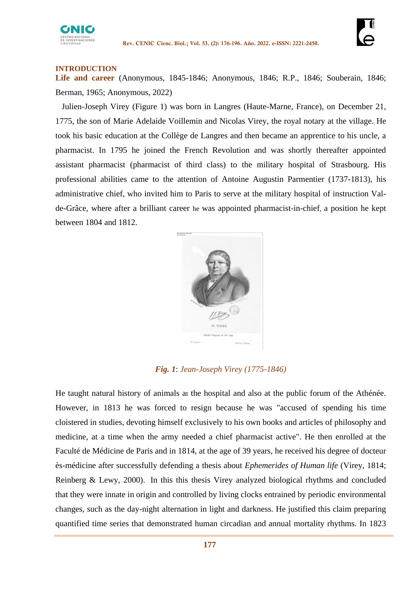

#### **INTRODUCTION**

**Life and career** (Anonymous, 1845-1846; Anonymous, 1846; R.P., 1846; Souberain, 1846; Berman, 1965; Anonymous, 2022)

 Julien-Joseph Virey (Figure 1) was born in Langres (Haute-Marne, France), on December 21, 1775, the son of Marie Adelaide Voillemin and Nicolas Virey, the royal notary at the village. He took his basic education at the Collège de Langres and then became an apprentice to his uncle, a pharmacist. In 1795 he joined the French Revolution and was shortly thereafter appointed assistant pharmacist (pharmacist of third class) to the military hospital of Strasbourg. His professional abilities came to the attention of Antoine Augustin Parmentier (1737-1813), his administrative chief, who invited him to Paris to serve at the military hospital of instruction Valde-Grâce, where after a brilliant career he was appointed pharmacist-in-chief, a position he kept between 1804 and 1812.



# *Fig. 1*: *Jean-Joseph Virey (1775-1846)*

He taught natural history of animals at the hospital and also at the public forum of the Athénée. However, in 1813 he was forced to resign because he was "accused of spending his time cloistered in studies, devoting himself exclusively to his own books and articles of philosophy and medicine, at a time when the army needed a chief pharmacist active". He then enrolled at the Faculté de Médicine de Paris and in 1814, at the age of 39 years, he received his degree of docteur ès-médicine after successfully defending a thesis about *Ephemerides of Human life* (Virey, 1814; Reinberg & Lewy, 2000). In this this thesis Virey analyzed biological rhythms and concluded that they were innate in origin and controlled by living clocks entrained by periodic environmental changes, such as the day-night alternation in light and darkness. He justified this claim preparing quantified time series that demonstrated human circadian and annual mortality rhythms. In 1823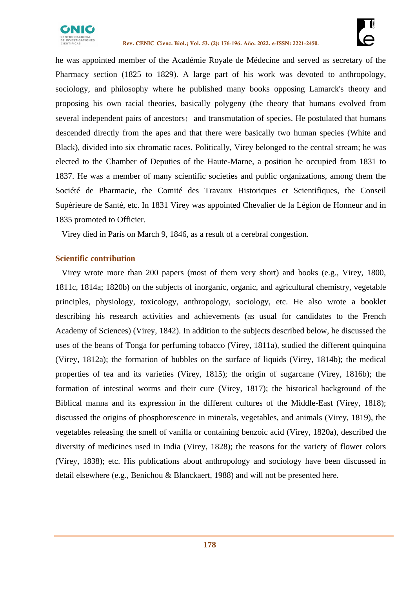

he was appointed member of the Académie Royale de Médecine and served as secretary of the Pharmacy section (1825 to 1829). A large part of his work was devoted to anthropology, sociology, and philosophy where he published many books opposing Lamarck's theory and proposing his own racial theories, basically polygeny (the theory that humans evolved from several independent pairs of ancestors) and transmutation of species. He postulated that humans descended directly from the apes and that there were basically two human species (White and Black), divided into six chromatic races. Politically, Virey belonged to the central stream; he was elected to the Chamber of Deputies of the Haute-Marne, a position he occupied from 1831 to 1837. He was a member of many scientific societies and public organizations, among them the Société de Pharmacie, the Comité des Travaux Historiques et Scientifiques, the Conseil Supérieure de Santé, etc. In 1831 Virey was appointed Chevalier de la Légion de Honneur and in 1835 promoted to Officier.

Virey died in Paris on March 9, 1846, as a result of a cerebral congestion.

# **Scientific contribution**

 Virey wrote more than 200 papers (most of them very short) and books (e.g., Virey, 1800, 1811c, 1814a; 1820b) on the subjects of inorganic, organic, and agricultural chemistry, vegetable principles, physiology, toxicology, anthropology, sociology, etc. He also wrote a booklet describing his research activities and achievements (as usual for candidates to the French Academy of Sciences) (Virey, 1842). In addition to the subjects described below, he discussed the uses of the beans of Tonga for perfuming tobacco (Virey, 1811a), studied the different quinquina (Virey, 1812a); the formation of bubbles on the surface of liquids (Virey, 1814b); the medical properties of tea and its varieties (Virey, 1815); the origin of sugarcane (Virey, 1816b); the formation of intestinal worms and their cure (Virey, 1817); the historical background of the Biblical manna and its expression in the different cultures of the Middle-East (Virey, 1818); discussed the origins of phosphorescence in minerals, vegetables, and animals (Virey, 1819), the vegetables releasing the smell of vanilla or containing benzoic acid (Virey, 1820a), described the diversity of medicines used in India (Virey, 1828); the reasons for the variety of flower colors (Virey, 1838); etc. His publications about anthropology and sociology have been discussed in detail elsewhere (e.g., Benichou & Blanckaert, 1988) and will not be presented here.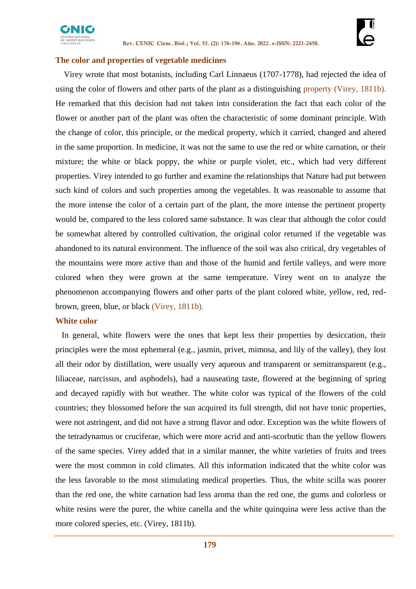

## **The color and properties of vegetable medicines**

 Virey wrote that most botanists, including Carl Linnaeus (1707-1778), had rejected the idea of using the color of flowers and other parts of the plant as a distinguishing property (Virey, 1811b). He remarked that this decision had not taken into consideration the fact that each color of the flower or another part of the plant was often the characteristic of some dominant principle. With the change of color, this principle, or the medical property, which it carried, changed and altered in the same proportion. In medicine, it was not the same to use the red or white carnation, or their mixture; the white or black poppy, the white or purple violet, etc., which had very different properties. Virey intended to go further and examine the relationships that Nature had put between such kind of colors and such properties among the vegetables. It was reasonable to assume that the more intense the color of a certain part of the plant, the more intense the pertinent property would be, compared to the less colored same substance. It was clear that although the color could be somewhat altered by controlled cultivation, the original color returned if the vegetable was abandoned to its natural environment. The influence of the soil was also critical, dry vegetables of the mountains were more active than and those of the humid and fertile valleys, and were more colored when they were grown at the same temperature. Virey went on to analyze the phenomenon accompanying flowers and other parts of the plant colored white, yellow, red, redbrown, green, blue, or black (Virey, 1811b).

## **White color**

 In general, white flowers were the ones that kept less their properties by desiccation, their principles were the most ephemeral (e.g., jasmin, privet, mimosa, and lily of the valley), they lost all their odor by distillation, were usually very aqueous and transparent or semitransparent (e.g., liliaceae, narcissus, and asphodels), had a nauseating taste, flowered at the beginning of spring and decayed rapidly with hot weather. The white color was typical of the flowers of the cold countries; they blossomed before the sun acquired its full strength, did not have tonic properties, were not astringent, and did not have a strong flavor and odor. Exception was the white flowers of the tetradynamus or cruciferae, which were more acrid and anti-scorbutic than the yellow flowers of the same species. Virey added that in a similar manner, the white varieties of fruits and trees were the most common in cold climates. All this information indicated that the white color was the less favorable to the most stimulating medical properties. Thus, the white scilla was poorer than the red one, the white carnation had less aroma than the red one, the gums and colorless or white resins were the purer, the white canella and the white quinquina were less active than the more colored species, etc. (Virey, 1811b).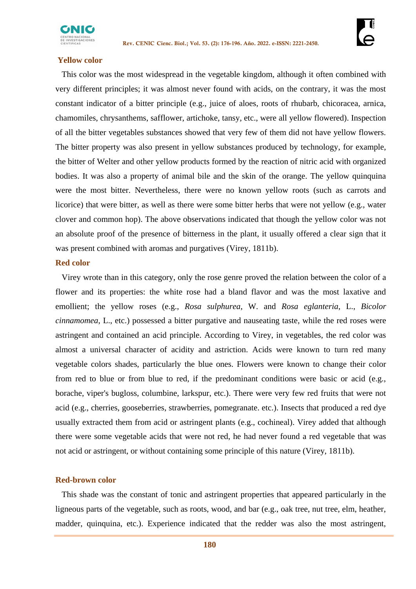



#### **Yellow color**

 This color was the most widespread in the vegetable kingdom, although it often combined with very different principles; it was almost never found with acids, on the contrary, it was the most constant indicator of a bitter principle (e.g., juice of aloes, roots of rhubarb, chicoracea, arnica, chamomiles, chrysanthems, safflower, artichoke, tansy, etc., were all yellow flowered). Inspection of all the bitter vegetables substances showed that very few of them did not have yellow flowers. The bitter property was also present in yellow substances produced by technology, for example, the bitter of Welter and other yellow products formed by the reaction of nitric acid with organized bodies. It was also a property of animal bile and the skin of the orange. The yellow quinquina were the most bitter. Nevertheless, there were no known yellow roots (such as carrots and licorice) that were bitter, as well as there were some bitter herbs that were not yellow (e.g., water clover and common hop). The above observations indicated that though the yellow color was not an absolute proof of the presence of bitterness in the plant, it usually offered a clear sign that it was present combined with aromas and purgatives (Virey, 1811b).

#### **Red color**

 Virey wrote than in this category, only the rose genre proved the relation between the color of a flower and its properties: the white rose had a bland flavor and was the most laxative and emollient; the yellow roses (e.g., *Rosa sulphurea*, W. and *Rosa eglanteria*, L., *Bicolor cinnamomea*, L., etc.) possessed a bitter purgative and nauseating taste, while the red roses were astringent and contained an acid principle. According to Virey, in vegetables, the red color was almost a universal character of acidity and astriction. Acids were known to turn red many vegetable colors shades, particularly the blue ones. Flowers were known to change their color from red to blue or from blue to red, if the predominant conditions were basic or acid (e.g., borache, viper's bugloss, columbine, larkspur, etc.). There were very few red fruits that were not acid (e.g., cherries, gooseberries, strawberries, pomegranate. etc.). Insects that produced a red dye usually extracted them from acid or astringent plants (e.g., cochineal). Virey added that although there were some vegetable acids that were not red, he had never found a red vegetable that was not acid or astringent, or without containing some principle of this nature (Virey, 1811b).

#### **Red-brown color**

 This shade was the constant of tonic and astringent properties that appeared particularly in the ligneous parts of the vegetable, such as roots, wood, and bar (e.g., oak tree, nut tree, elm, heather, madder, quinquina, etc.). Experience indicated that the redder was also the most astringent,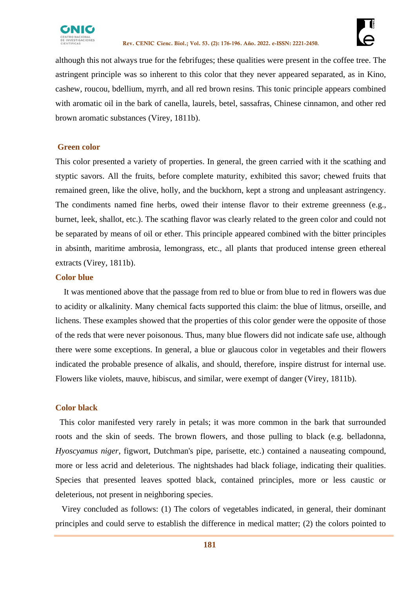



although this not always true for the febrifuges; these qualities were present in the coffee tree. The astringent principle was so inherent to this color that they never appeared separated, as in Kino, cashew, roucou, bdellium, myrrh, and all red brown resins. This tonic principle appears combined with aromatic oil in the bark of canella, laurels, betel, sassafras, Chinese cinnamon, and other red brown aromatic substances (Virey, 1811b).

## **Green color**

This color presented a variety of properties. In general, the green carried with it the scathing and styptic savors. All the fruits, before complete maturity, exhibited this savor; chewed fruits that remained green, like the olive, holly, and the buckhorn, kept a strong and unpleasant astringency. The condiments named fine herbs, owed their intense flavor to their extreme greenness (e.g., burnet, leek, shallot, etc.). The scathing flavor was clearly related to the green color and could not be separated by means of oil or ether. This principle appeared combined with the bitter principles in absinth, maritime ambrosia, lemongrass, etc., all plants that produced intense green ethereal extracts (Virey, 1811b).

## **Color blue**

 It was mentioned above that the passage from red to blue or from blue to red in flowers was due to acidity or alkalinity. Many chemical facts supported this claim: the blue of litmus, orseille, and lichens. These examples showed that the properties of this color gender were the opposite of those of the reds that were never poisonous. Thus, many blue flowers did not indicate safe use, although there were some exceptions. In general, a blue or glaucous color in vegetables and their flowers indicated the probable presence of alkalis, and should, therefore, inspire distrust for internal use. Flowers like violets, mauve, hibiscus, and similar, were exempt of danger (Virey, 1811b).

## **Color black**

 This color manifested very rarely in petals; it was more common in the bark that surrounded roots and the skin of seeds. The brown flowers, and those pulling to black (e.g. belladonna, *Hyoscyamus niger*, figwort, Dutchman's pipe, parisette, etc.) contained a nauseating compound, more or less acrid and deleterious. The nightshades had black foliage, indicating their qualities. Species that presented leaves spotted black, contained principles, more or less caustic or deleterious, not present in neighboring species.

 Virey concluded as follows: (1) The colors of vegetables indicated, in general, their dominant principles and could serve to establish the difference in medical matter; (2) the colors pointed to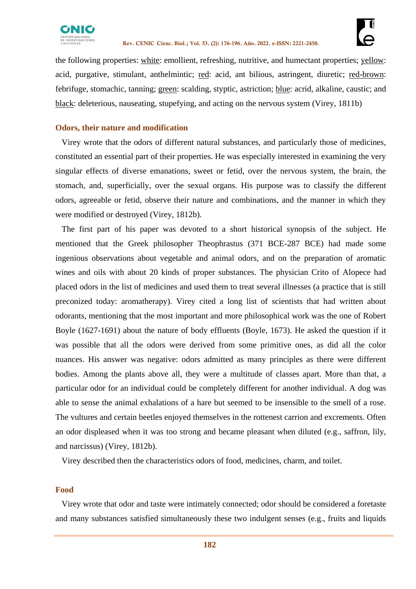



the following properties: white: emollient, refreshing, nutritive, and humectant properties; yellow: acid, purgative, stimulant, anthelmintic; red: acid, ant bilious, astringent, diuretic; red-brown: febrifuge, stomachic, tanning; green: scalding, styptic, astriction; blue: acrid, alkaline, caustic; and black: deleterious, nauseating, stupefying, and acting on the nervous system (Virey, 1811b)

## **Odors, their nature and modification**

 Virey wrote that the odors of different natural substances, and particularly those of medicines, constituted an essential part of their properties. He was especially interested in examining the very singular effects of diverse emanations, sweet or fetid, over the nervous system, the brain, the stomach, and, superficially, over the sexual organs. His purpose was to classify the different odors, agreeable or fetid, observe their nature and combinations, and the manner in which they were modified or destroyed (Virey, 1812b).

 The first part of his paper was devoted to a short historical synopsis of the subject. He mentioned that the Greek philosopher Theophrastus (371 BCE-287 BCE) had made some ingenious observations about vegetable and animal odors, and on the preparation of aromatic wines and oils with about 20 kinds of proper substances. The physician Crito of Alopece had placed odors in the list of medicines and used them to treat several illnesses (a practice that is still preconized today: aromatherapy). Virey cited a long list of scientists that had written about odorants, mentioning that the most important and more philosophical work was the one of Robert Boyle (1627-1691) about the nature of body effluents (Boyle, 1673). He asked the question if it was possible that all the odors were derived from some primitive ones, as did all the color nuances. His answer was negative: odors admitted as many principles as there were different bodies. Among the plants above all, they were a multitude of classes apart. More than that, a particular odor for an individual could be completely different for another individual. A dog was able to sense the animal exhalations of a hare but seemed to be insensible to the smell of a rose. The vultures and certain beetles enjoyed themselves in the rottenest carrion and excrements. Often an odor displeased when it was too strong and became pleasant when diluted (e.g., saffron, lily, and narcissus) (Virey, 1812b).

Virey described then the characteristics odors of food, medicines, charm, and toilet.

## **Food**

 Virey wrote that odor and taste were intimately connected; odor should be considered a foretaste and many substances satisfied simultaneously these two indulgent senses (e.g., fruits and liquids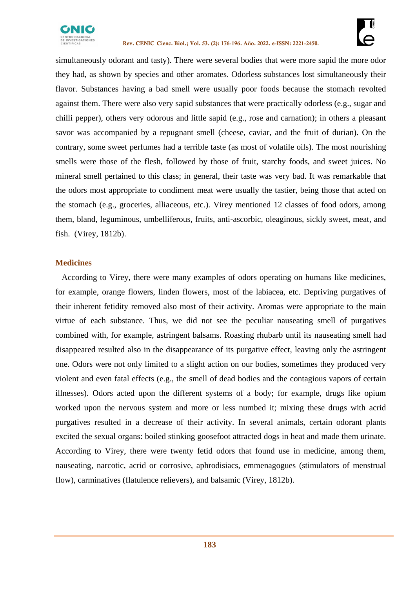

simultaneously odorant and tasty). There were several bodies that were more sapid the more odor they had, as shown by species and other aromates. Odorless substances lost simultaneously their flavor. Substances having a bad smell were usually poor foods because the stomach revolted against them. There were also very sapid substances that were practically odorless (e.g., sugar and chilli pepper), others very odorous and little sapid (e.g., rose and carnation); in others a pleasant savor was accompanied by a repugnant smell (cheese, caviar, and the fruit of durian). On the contrary, some sweet perfumes had a terrible taste (as most of volatile oils). The most nourishing smells were those of the flesh, followed by those of fruit, starchy foods, and sweet juices. No mineral smell pertained to this class; in general, their taste was very bad. It was remarkable that the odors most appropriate to condiment meat were usually the tastier, being those that acted on the stomach (e.g., groceries, alliaceous, etc.). Virey mentioned 12 classes of food odors, among them, bland, leguminous, umbelliferous, fruits, anti-ascorbic, oleaginous, sickly sweet, meat, and fish. (Virey, 1812b).

## **Medicines**

 According to Virey, there were many examples of odors operating on humans like medicines, for example, orange flowers, linden flowers, most of the labiacea, etc. Depriving purgatives of their inherent fetidity removed also most of their activity. Aromas were appropriate to the main virtue of each substance. Thus, we did not see the peculiar nauseating smell of purgatives combined with, for example, astringent balsams. Roasting rhubarb until its nauseating smell had disappeared resulted also in the disappearance of its purgative effect, leaving only the astringent one. Odors were not only limited to a slight action on our bodies, sometimes they produced very violent and even fatal effects (e.g., the smell of dead bodies and the contagious vapors of certain illnesses). Odors acted upon the different systems of a body; for example, drugs like opium worked upon the nervous system and more or less numbed it; mixing these drugs with acrid purgatives resulted in a decrease of their activity. In several animals, certain odorant plants excited the sexual organs: boiled stinking goosefoot attracted dogs in heat and made them urinate. According to Virey, there were twenty fetid odors that found use in medicine, among them, nauseating, narcotic, acrid or corrosive, aphrodisiacs, emmenagogues (stimulators of menstrual flow), carminatives (flatulence relievers), and balsamic (Virey, 1812b).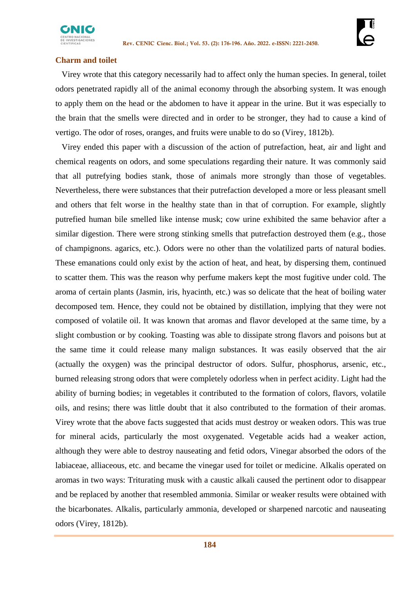

## **Charm and toilet**

 Virey wrote that this category necessarily had to affect only the human species. In general, toilet odors penetrated rapidly all of the animal economy through the absorbing system. It was enough to apply them on the head or the abdomen to have it appear in the urine. But it was especially to the brain that the smells were directed and in order to be stronger, they had to cause a kind of vertigo. The odor of roses, oranges, and fruits were unable to do so (Virey, 1812b).

 Virey ended this paper with a discussion of the action of putrefaction, heat, air and light and chemical reagents on odors, and some speculations regarding their nature. It was commonly said that all putrefying bodies stank, those of animals more strongly than those of vegetables. Nevertheless, there were substances that their putrefaction developed a more or less pleasant smell and others that felt worse in the healthy state than in that of corruption. For example, slightly putrefied human bile smelled like intense musk; cow urine exhibited the same behavior after a similar digestion. There were strong stinking smells that putrefaction destroyed them (e.g., those of champignons. agarics, etc.). Odors were no other than the volatilized parts of natural bodies. These emanations could only exist by the action of heat, and heat, by dispersing them, continued to scatter them. This was the reason why perfume makers kept the most fugitive under cold. The aroma of certain plants (Jasmin, iris, hyacinth, etc.) was so delicate that the heat of boiling water decomposed tem. Hence, they could not be obtained by distillation, implying that they were not composed of volatile oil. It was known that aromas and flavor developed at the same time, by a slight combustion or by cooking. Toasting was able to dissipate strong flavors and poisons but at the same time it could release many malign substances. It was easily observed that the air (actually the oxygen) was the principal destructor of odors. Sulfur, phosphorus, arsenic, etc., burned releasing strong odors that were completely odorless when in perfect acidity. Light had the ability of burning bodies; in vegetables it contributed to the formation of colors, flavors, volatile oils, and resins; there was little doubt that it also contributed to the formation of their aromas. Virey wrote that the above facts suggested that acids must destroy or weaken odors. This was true for mineral acids, particularly the most oxygenated. Vegetable acids had a weaker action, although they were able to destroy nauseating and fetid odors, Vinegar absorbed the odors of the labiaceae, alliaceous, etc. and became the vinegar used for toilet or medicine. Alkalis operated on aromas in two ways: Triturating musk with a caustic alkali caused the pertinent odor to disappear and be replaced by another that resembled ammonia. Similar or weaker results were obtained with the bicarbonates. Alkalis, particularly ammonia, developed or sharpened narcotic and nauseating odors (Virey, 1812b).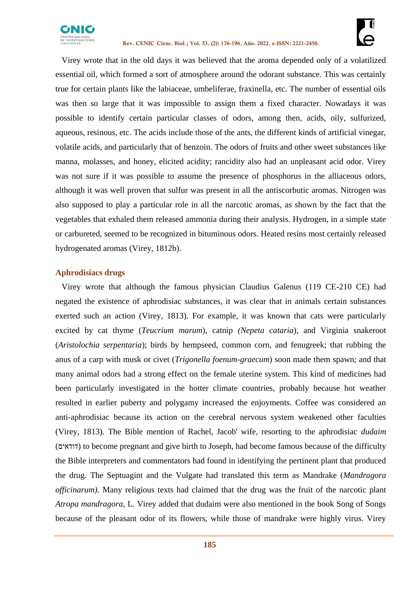



 Virey wrote that in the old days it was believed that the aroma depended only of a volatilized essential oil, which formed a sort of atmosphere around the odorant substance. This was certainly true for certain plants like the labiaceae, umbeliferae, fraxinella, etc. The number of essential oils was then so large that it was impossible to assign them a fixed character. Nowadays it was possible to identify certain particular classes of odors, among then, acids, oily, sulfurized, aqueous, resinous, etc. The acids include those of the ants, the different kinds of artificial vinegar, volatile acids, and particularly that of benzoin. The odors of fruits and other sweet substances like manna, molasses, and honey, elicited acidity; rancidity also had an unpleasant acid odor. Virey was not sure if it was possible to assume the presence of phosphorus in the alliaceous odors, although it was well proven that sulfur was present in all the antiscorbutic aromas. Nitrogen was also supposed to play a particular role in all the narcotic aromas, as shown by the fact that the vegetables that exhaled them released ammonia during their analysis. Hydrogen, in a simple state or carbureted, seemed to be recognized in bituminous odors. Heated resins most certainly released hydrogenated aromas (Virey, 1812b).

# **Aphrodisiacs drugs**

 Virey wrote that although the famous physician Claudius Galenus (119 CE-210 CE) had negated the existence of aphrodisiac substances, it was clear that in animals certain substances exerted such an action (Virey, 1813). For example, it was known that cats were particularly excited by cat thyme (*Teucrium marum*), catnip *(Nepeta cataria*), and Virginia snakeroot (*Aristolochia serpentaria*); birds by hempseed, common corn, and fenugreek; that rubbing the anus of a carp with musk or civet (*Trigonella foenum-graecum*) soon made them spawn; and that many animal odors had a strong effect on the female uterine system. This kind of medicines had been particularly investigated in the hotter climate countries, probably because hot weather resulted in earlier puberty and polygamy increased the enjoyments. Coffee was considered an anti-aphrodisiac because its action on the cerebral nervous system weakened other faculties (Virey, 1813). The Bible mention of Rachel, Jacob' wife, resorting to the aphrodisiac *dudaim* (דודאים (to become pregnant and give birth to Joseph, had become famous because of the difficulty the Bible interpreters and commentators had found in identifying the pertinent plant that produced the drug. The Septuagint and the Vulgate had translated this term as Mandrake (*Mandragora officinarum).* Many religious texts had claimed that the drug was the fruit of the narcotic plant *Atropa mandragora,* L*.* Virey added that dudaim were also mentioned in the book Song of Songs because of the pleasant odor of its flowers, while those of mandrake were highly virus. Virey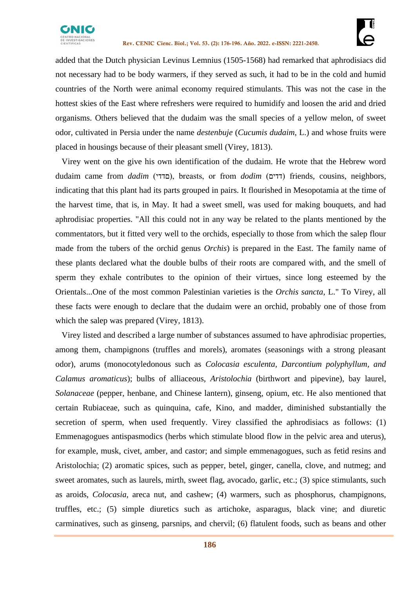



added that the Dutch physician Levinus Lemnius (1505-1568) had remarked that aphrodisiacs did not necessary had to be body warmers, if they served as such, it had to be in the cold and humid countries of the North were animal economy required stimulants. This was not the case in the hottest skies of the East where refreshers were required to humidify and loosen the arid and dried organisms. Others believed that the dudaim was the small species of a yellow melon, of sweet odor, cultivated in Persia under the name *destenbuje* (*Cucumis dudaim*, L.) and whose fruits were placed in housings because of their pleasant smell (Virey, 1813).

 Virey went on the give his own identification of the dudaim. He wrote that the Hebrew word dudaim came from *dadim* (סדדי), breasts, or from *dodim* (דדים) friends, cousins, neighbors, indicating that this plant had its parts grouped in pairs. It flourished in Mesopotamia at the time of the harvest time, that is, in May. It had a sweet smell, was used for making bouquets, and had aphrodisiac properties. "All this could not in any way be related to the plants mentioned by the commentators, but it fitted very well to the orchids, especially to those from which the salep flour made from the tubers of the orchid genus *Orchis*) is prepared in the East. The family name of these plants declared what the double bulbs of their roots are compared with, and the smell of sperm they exhale contributes to the opinion of their virtues, since long esteemed by the Orientals...One of the most common Palestinian varieties is the *Orchis sancta*, L." To Virey, all these facts were enough to declare that the dudaim were an orchid, probably one of those from which the salep was prepared (Virey, 1813).

 Virey listed and described a large number of substances assumed to have aphrodisiac properties, among them, champignons (truffles and morels), aromates (seasonings with a strong pleasant odor), arums (monocotyledonous such as *Colocasia esculenta, Darcontium polyphyllum, and Calamus aromaticus*); bulbs of alliaceous, *Aristolochia* (birthwort and pipevine), bay laurel, *Solanaceae* (pepper, henbane, and Chinese lantern), ginseng, opium, etc. He also mentioned that certain Rubiaceae, such as quinquina, cafe, Kino, and madder, diminished substantially the secretion of sperm, when used frequently. Virey classified the aphrodisiacs as follows: (1) Emmenagogues antispasmodics (herbs which stimulate blood flow in the pelvic area and uterus), for example, musk, civet, amber, and castor; and simple emmenagogues, such as fetid resins and Aristolochia; (2) aromatic spices, such as pepper, betel, ginger, canella, clove, and nutmeg; and sweet aromates, such as laurels, mirth, sweet flag, avocado, garlic, etc.; (3) spice stimulants, such as aroids, *Colocasia*, areca nut, and cashew; (4) warmers, such as phosphorus, champignons, truffles, etc.; (5) simple diuretics such as artichoke, asparagus, black vine; and diuretic carminatives, such as ginseng, parsnips, and chervil; (6) flatulent foods, such as beans and other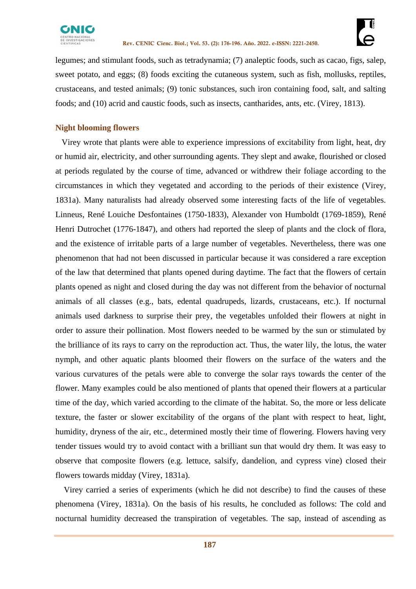



legumes; and stimulant foods, such as tetradynamia; (7) analeptic foods, such as cacao, figs, salep, sweet potato, and eggs; (8) foods exciting the cutaneous system, such as fish, mollusks, reptiles, crustaceans, and tested animals; (9) tonic substances, such iron containing food, salt, and salting foods; and (10) acrid and caustic foods, such as insects, cantharides, ants, etc. (Virey, 1813).

## **Night blooming flowers**

 Virey wrote that plants were able to experience impressions of excitability from light, heat, dry or humid air, electricity, and other surrounding agents. They slept and awake, flourished or closed at periods regulated by the course of time, advanced or withdrew their foliage according to the circumstances in which they vegetated and according to the periods of their existence (Virey, 1831a). Many naturalists had already observed some interesting facts of the life of vegetables. Linneus, René Louiche Desfontaines (1750-1833), Alexander von Humboldt (1769-1859), René Henri Dutrochet (1776-1847), and others had reported the sleep of plants and the clock of flora, and the existence of irritable parts of a large number of vegetables. Nevertheless, there was one phenomenon that had not been discussed in particular because it was considered a rare exception of the law that determined that plants opened during daytime. The fact that the flowers of certain plants opened as night and closed during the day was not different from the behavior of nocturnal animals of all classes (e.g., bats, edental quadrupeds, lizards, crustaceans, etc.). If nocturnal animals used darkness to surprise their prey, the vegetables unfolded their flowers at night in order to assure their pollination. Most flowers needed to be warmed by the sun or stimulated by the brilliance of its rays to carry on the reproduction act. Thus, the water lily, the lotus, the water nymph, and other aquatic plants bloomed their flowers on the surface of the waters and the various curvatures of the petals were able to converge the solar rays towards the center of the flower. Many examples could be also mentioned of plants that opened their flowers at a particular time of the day, which varied according to the climate of the habitat. So, the more or less delicate texture, the faster or slower excitability of the organs of the plant with respect to heat, light, humidity, dryness of the air, etc., determined mostly their time of flowering. Flowers having very tender tissues would try to avoid contact with a brilliant sun that would dry them. It was easy to observe that composite flowers (e.g. lettuce, salsify, dandelion, and cypress vine) closed their flowers towards midday (Virey, 1831a).

 Virey carried a series of experiments (which he did not describe) to find the causes of these phenomena (Virey, 1831a). On the basis of his results, he concluded as follows: The cold and nocturnal humidity decreased the transpiration of vegetables. The sap, instead of ascending as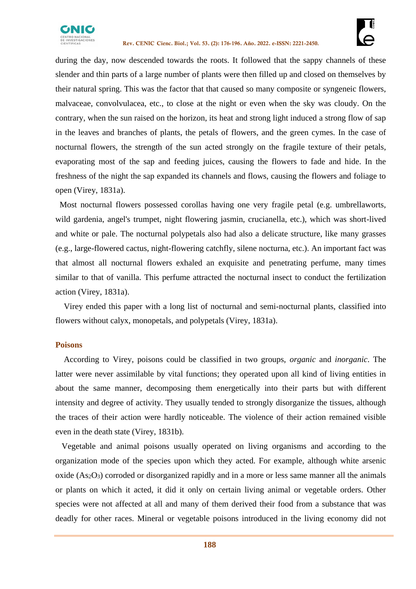



during the day, now descended towards the roots. It followed that the sappy channels of these slender and thin parts of a large number of plants were then filled up and closed on themselves by their natural spring. This was the factor that that caused so many composite or syngeneic flowers, malvaceae, convolvulacea, etc., to close at the night or even when the sky was cloudy. On the contrary, when the sun raised on the horizon, its heat and strong light induced a strong flow of sap in the leaves and branches of plants, the petals of flowers, and the green cymes. In the case of nocturnal flowers, the strength of the sun acted strongly on the fragile texture of their petals, evaporating most of the sap and feeding juices, causing the flowers to fade and hide. In the freshness of the night the sap expanded its channels and flows, causing the flowers and foliage to open (Virey, 1831a).

 Most nocturnal flowers possessed corollas having one very fragile petal (e.g. umbrellaworts, wild gardenia, angel's trumpet, night flowering jasmin, crucianella, etc.), which was short-lived and white or pale. The nocturnal polypetals also had also a delicate structure, like many grasses (e.g., large-flowered cactus, night-flowering catchfly, silene nocturna, etc.). An important fact was that almost all nocturnal flowers exhaled an exquisite and penetrating perfume, many times similar to that of vanilla. This perfume attracted the nocturnal insect to conduct the fertilization action (Virey, 1831a).

 Virey ended this paper with a long list of nocturnal and semi-nocturnal plants, classified into flowers without calyx, monopetals, and polypetals (Virey, 1831a).

## **Poisons**

 According to Virey, poisons could be classified in two groups, *organic* and *inorganic*. The latter were never assimilable by vital functions; they operated upon all kind of living entities in about the same manner, decomposing them energetically into their parts but with different intensity and degree of activity. They usually tended to strongly disorganize the tissues, although the traces of their action were hardly noticeable. The violence of their action remained visible even in the death state (Virey, 1831b).

 Vegetable and animal poisons usually operated on living organisms and according to the organization mode of the species upon which they acted. For example, although white arsenic  $\alpha$  oxide (As<sub>2</sub>O<sub>3</sub>) corroded or disorganized rapidly and in a more or less same manner all the animals or plants on which it acted, it did it only on certain living animal or vegetable orders. Other species were not affected at all and many of them derived their food from a substance that was deadly for other races. Mineral or vegetable poisons introduced in the living economy did not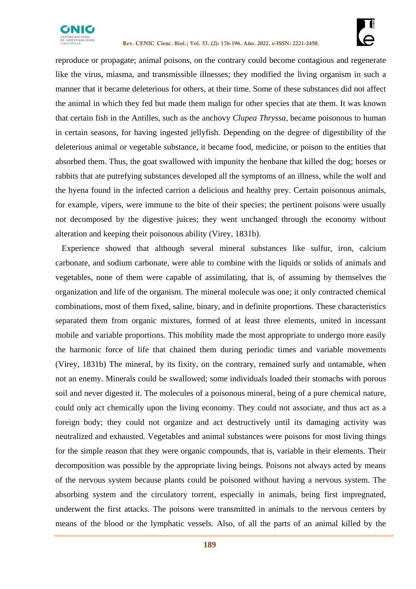



reproduce or propagate; animal poisons, on the contrary could become contagious and regenerate like the virus, miasma, and transmissible illnesses; they modified the living organism in such a manner that it became deleterious for others, at their time. Some of these substances did not affect the animal in which they fed but made them malign for other species that ate them. It was known that certain fish in the Antilles, such as the anchovy *Clupea Thryssa*, became poisonous to human in certain seasons, for having ingested jellyfish. Depending on the degree of digestibility of the deleterious animal or vegetable substance, it became food, medicine, or poison to the entities that absorbed them. Thus, the goat swallowed with impunity the henbane that killed the dog; horses or rabbits that ate putrefying substances developed all the symptoms of an illness, while the wolf and the hyena found in the infected carrion a delicious and healthy prey. Certain poisonous animals, for example, vipers, were immune to the bite of their species; the pertinent poisons were usually not decomposed by the digestive juices; they went unchanged through the economy without alteration and keeping their poisonous ability (Virey, 1831b).

 Experience showed that although several mineral substances like sulfur, iron, calcium carbonate, and sodium carbonate, were able to combine with the liquids or solids of animals and vegetables, none of them were capable of assimilating, that is, of assuming by themselves the organization and life of the organism. The mineral molecule was one; it only contracted chemical combinations, most of them fixed, saline, binary, and in definite proportions. These characteristics separated them from organic mixtures, formed of at least three elements, united in incessant mobile and variable proportions. This mobility made the most appropriate to undergo more easily the harmonic force of life that chained them during periodic times and variable movements (Virey, 1831b) The mineral, by its fixity, on the contrary, remained surly and untamable, when not an enemy. Minerals could be swallowed; some individuals loaded their stomachs with porous soil and never digested it. The molecules of a poisonous mineral, being of a pure chemical nature, could only act chemically upon the living economy. They could not associate, and thus act as a foreign body; they could not organize and act destructively until its damaging activity was neutralized and exhausted. Vegetables and animal substances were poisons for most living things for the simple reason that they were organic compounds, that is, variable in their elements. Their decomposition was possible by the appropriate living beings. Poisons not always acted by means of the nervous system because plants could be poisoned without having a nervous system. The absorbing system and the circulatory torrent, especially in animals, being first impregnated, underwent the first attacks. The poisons were transmitted in animals to the nervous centers by means of the blood or the lymphatic vessels. Also, of all the parts of an animal killed by the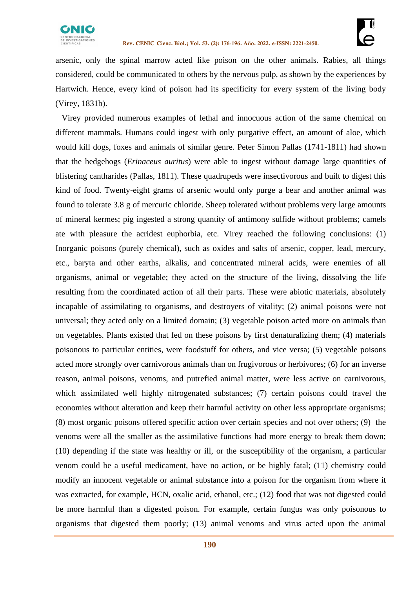

arsenic, only the spinal marrow acted like poison on the other animals. Rabies, all things considered, could be communicated to others by the nervous pulp, as shown by the experiences by Hartwich. Hence, every kind of poison had its specificity for every system of the living body (Virey, 1831b).

 Virey provided numerous examples of lethal and innocuous action of the same chemical on different mammals. Humans could ingest with only purgative effect, an amount of aloe, which would kill dogs, foxes and animals of similar genre. Peter Simon Pallas (1741-1811) had shown that the hedgehogs (*Erinaceus auritus*) were able to ingest without damage large quantities of blistering cantharides (Pallas, 1811). These quadrupeds were insectivorous and built to digest this kind of food. Twenty-eight grams of arsenic would only purge a bear and another animal was found to tolerate 3.8 g of mercuric chloride. Sheep tolerated without problems very large amounts of mineral kermes; pig ingested a strong quantity of antimony sulfide without problems; camels ate with pleasure the acridest euphorbia, etc. Virey reached the following conclusions: (1) Inorganic poisons (purely chemical), such as oxides and salts of arsenic, copper, lead, mercury, etc., baryta and other earths, alkalis, and concentrated mineral acids, were enemies of all organisms, animal or vegetable; they acted on the structure of the living, dissolving the life resulting from the coordinated action of all their parts. These were abiotic materials, absolutely incapable of assimilating to organisms, and destroyers of vitality; (2) animal poisons were not universal; they acted only on a limited domain; (3) vegetable poison acted more on animals than on vegetables. Plants existed that fed on these poisons by first denaturalizing them; (4) materials poisonous to particular entities, were foodstuff for others, and vice versa; (5) vegetable poisons acted more strongly over carnivorous animals than on frugivorous or herbivores; (6) for an inverse reason, animal poisons, venoms, and putrefied animal matter, were less active on carnivorous, which assimilated well highly nitrogenated substances; (7) certain poisons could travel the economies without alteration and keep their harmful activity on other less appropriate organisms; (8) most organic poisons offered specific action over certain species and not over others; (9) the venoms were all the smaller as the assimilative functions had more energy to break them down; (10) depending if the state was healthy or ill, or the susceptibility of the organism, a particular venom could be a useful medicament, have no action, or be highly fatal; (11) chemistry could modify an innocent vegetable or animal substance into a poison for the organism from where it was extracted, for example, HCN, oxalic acid, ethanol, etc.; (12) food that was not digested could be more harmful than a digested poison. For example, certain fungus was only poisonous to organisms that digested them poorly; (13) animal venoms and virus acted upon the animal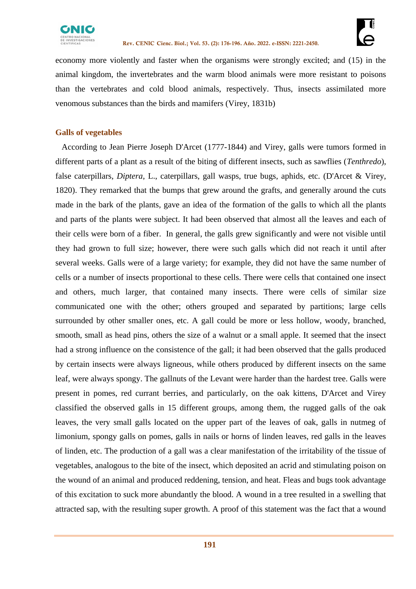



economy more violently and faster when the organisms were strongly excited; and (15) in the animal kingdom, the invertebrates and the warm blood animals were more resistant to poisons than the vertebrates and cold blood animals, respectively. Thus, insects assimilated more venomous substances than the birds and mamifers (Virey, 1831b)

## **Galls of vegetables**

 According to Jean Pierre Joseph D'Arcet (1777-1844) and Virey, galls were tumors formed in different parts of a plant as a result of the biting of different insects, such as sawflies (*Tenthredo*), false caterpillars, *Diptera*, L., caterpillars, gall wasps, true bugs, aphids, etc. (D'Arcet & Virey, 1820). They remarked that the bumps that grew around the grafts, and generally around the cuts made in the bark of the plants, gave an idea of the formation of the galls to which all the plants and parts of the plants were subject. It had been observed that almost all the leaves and each of their cells were born of a fiber. In general, the galls grew significantly and were not visible until they had grown to full size; however, there were such galls which did not reach it until after several weeks. Galls were of a large variety; for example, they did not have the same number of cells or a number of insects proportional to these cells. There were cells that contained one insect and others, much larger, that contained many insects. There were cells of similar size communicated one with the other; others grouped and separated by partitions; large cells surrounded by other smaller ones, etc. A gall could be more or less hollow, woody, branched, smooth, small as head pins, others the size of a walnut or a small apple. It seemed that the insect had a strong influence on the consistence of the gall; it had been observed that the galls produced by certain insects were always ligneous, while others produced by different insects on the same leaf, were always spongy. The gallnuts of the Levant were harder than the hardest tree. Galls were present in pomes, red currant berries, and particularly, on the oak kittens, D'Arcet and Virey classified the observed galls in 15 different groups, among them, the rugged galls of the oak leaves, the very small galls located on the upper part of the leaves of oak, galls in nutmeg of limonium, spongy galls on pomes, galls in nails or horns of linden leaves, red galls in the leaves of linden, etc. The production of a gall was a clear manifestation of the irritability of the tissue of vegetables, analogous to the bite of the insect, which deposited an acrid and stimulating poison on the wound of an animal and produced reddening, tension, and heat. Fleas and bugs took advantage of this excitation to suck more abundantly the blood. A wound in a tree resulted in a swelling that attracted sap, with the resulting super growth. A proof of this statement was the fact that a wound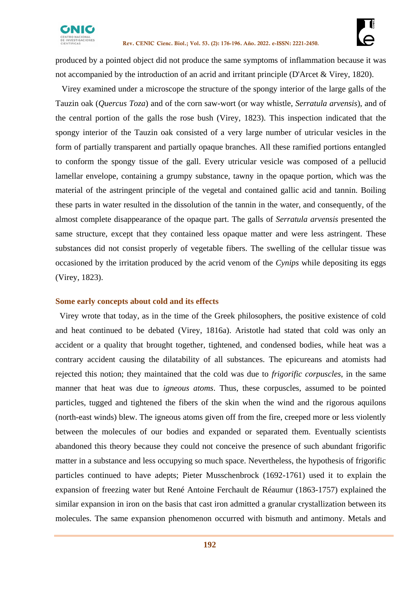



produced by a pointed object did not produce the same symptoms of inflammation because it was not accompanied by the introduction of an acrid and irritant principle (D'Arcet & Virey, 1820).

 Virey examined under a microscope the structure of the spongy interior of the large galls of the Tauzin oak (*Quercus Toza*) and of the corn saw-wort (or way whistle, *Serratula arvensis*), and of the central portion of the galls the rose bush (Virey, 1823)*.* This inspection indicated that the spongy interior of the Tauzin oak consisted of a very large number of utricular vesicles in the form of partially transparent and partially opaque branches. All these ramified portions entangled to conform the spongy tissue of the gall. Every utricular vesicle was composed of a pellucid lamellar envelope, containing a grumpy substance, tawny in the opaque portion, which was the material of the astringent principle of the vegetal and contained gallic acid and tannin. Boiling these parts in water resulted in the dissolution of the tannin in the water, and consequently, of the almost complete disappearance of the opaque part. The galls of *Serratula arvensis* presented the same structure, except that they contained less opaque matter and were less astringent. These substances did not consist properly of vegetable fibers. The swelling of the cellular tissue was occasioned by the irritation produced by the acrid venom of the *Cynips* while depositing its eggs (Virey, 1823).

## **Some early concepts about cold and its effects**

 Virey wrote that today, as in the time of the Greek philosophers, the positive existence of cold and heat continued to be debated (Virey, 1816a). Aristotle had stated that cold was only an accident or a quality that brought together, tightened, and condensed bodies, while heat was a contrary accident causing the dilatability of all substances. The epicureans and atomists had rejected this notion; they maintained that the cold was due to *frigorific corpuscles*, in the same manner that heat was due to *igneous atoms*. Thus, these corpuscles, assumed to be pointed particles, tugged and tightened the fibers of the skin when the wind and the rigorous aquilons (north-east winds) blew. The igneous atoms given off from the fire, creeped more or less violently between the molecules of our bodies and expanded or separated them. Eventually scientists abandoned this theory because they could not conceive the presence of such abundant frigorific matter in a substance and less occupying so much space. Nevertheless, the hypothesis of frigorific particles continued to have adepts; Pieter Musschenbrock (1692-1761) used it to explain the expansion of freezing water but René Antoine Ferchault de Réaumur (1863-1757) explained the similar expansion in iron on the basis that cast iron admitted a granular crystallization between its molecules. The same expansion phenomenon occurred with bismuth and antimony. Metals and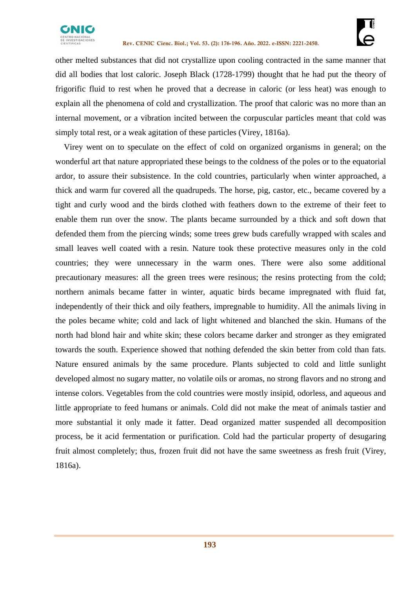



other melted substances that did not crystallize upon cooling contracted in the same manner that did all bodies that lost caloric. Joseph Black (1728-1799) thought that he had put the theory of frigorific fluid to rest when he proved that a decrease in caloric (or less heat) was enough to explain all the phenomena of cold and crystallization. The proof that caloric was no more than an internal movement, or a vibration incited between the corpuscular particles meant that cold was simply total rest, or a weak agitation of these particles (Virey, 1816a).

 Virey went on to speculate on the effect of cold on organized organisms in general; on the wonderful art that nature appropriated these beings to the coldness of the poles or to the equatorial ardor, to assure their subsistence. In the cold countries, particularly when winter approached, a thick and warm fur covered all the quadrupeds. The horse, pig, castor, etc., became covered by a tight and curly wood and the birds clothed with feathers down to the extreme of their feet to enable them run over the snow. The plants became surrounded by a thick and soft down that defended them from the piercing winds; some trees grew buds carefully wrapped with scales and small leaves well coated with a resin. Nature took these protective measures only in the cold countries; they were unnecessary in the warm ones. There were also some additional precautionary measures: all the green trees were resinous; the resins protecting from the cold; northern animals became fatter in winter, aquatic birds became impregnated with fluid fat, independently of their thick and oily feathers, impregnable to humidity. All the animals living in the poles became white; cold and lack of light whitened and blanched the skin. Humans of the north had blond hair and white skin; these colors became darker and stronger as they emigrated towards the south. Experience showed that nothing defended the skin better from cold than fats. Nature ensured animals by the same procedure. Plants subjected to cold and little sunlight developed almost no sugary matter, no volatile oils or aromas, no strong flavors and no strong and intense colors. Vegetables from the cold countries were mostly insipid, odorless, and aqueous and little appropriate to feed humans or animals. Cold did not make the meat of animals tastier and more substantial it only made it fatter. Dead organized matter suspended all decomposition process, be it acid fermentation or purification. Cold had the particular property of desugaring fruit almost completely; thus, frozen fruit did not have the same sweetness as fresh fruit (Virey, 1816a).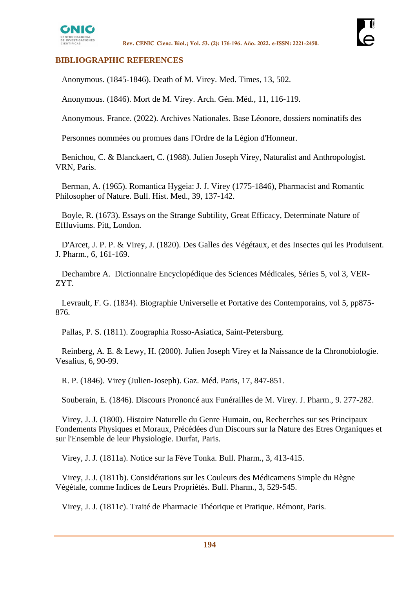

# **BIBLIOGRAPHIC REFERENCES**

Anonymous. (1845-1846). Death of M. Virey. Med. Times, 13, 502.

Anonymous. (1846). Mort de M. Virey. Arch. Gén. Méd., 11, 116-119.

Anonymous. France. (2022). Archives Nationales. Base Léonore, dossiers nominatifs des

Personnes nommées ou promues dans l'Ordre de la Légion d'Honneur.

Benichou, C. & Blanckaert, C. (1988). Julien Joseph Virey, Naturalist and Anthropologist. VRN, Paris.

Berman, A. (1965). Romantica Hygeia: J. J. Virey (1775-1846), Pharmacist and Romantic Philosopher of Nature. Bull. Hist. Med., 39, 137-142.

Boyle, R. (1673). Essays on the Strange Subtility, Great Efficacy, Determinate Nature of Effluviums. Pitt, London.

D'Arcet, J. P. P. & Virey, J. (1820). Des Galles des Végétaux, et des Insectes qui les Produisent. J. Pharm., 6, 161-169.

Dechambre A. Dictionnaire Encyclopédique des Sciences Médicales, Séries 5, vol 3, VER-ZYT.

Levrault, F. G. (1834). Biographie Universelle et Portative des Contemporains, vol 5, pp875- 876.

Pallas, P. S. (1811). Zoographia Rosso-Asiatica, Saint-Petersburg.

Reinberg, A. E. & Lewy, H. (2000). Julien Joseph Virey et la Naissance de la Chronobiologie. Vesalius, 6, 90-99.

R. P. (1846). Virey (Julien-Joseph). Gaz. Méd. Paris, 17, 847-851.

Souberain, E. (1846). Discours Prononcé aux Funérailles de M. Virey. J. Pharm., 9. 277-282.

Virey, J. J. (1800). Histoire Naturelle du Genre Humain, ou, Recherches sur ses Principaux Fondements Physiques et Moraux, Précédées d'un Discours sur la Nature des Etres Organiques et sur l'Ensemble de leur Physiologie. Durfat, Paris.

Virey, J. J. (1811a). Notice sur la Fève Tonka. Bull. Pharm., 3, 413-415.

Virey, J. J. (1811b). Considérations sur les Couleurs des Médicamens Simple du Règne Végétale, comme Indices de Leurs Propriétés. Bull. Pharm., 3, 529-545.

Virey, J. J. (1811c). Traité de Pharmacie Théorique et Pratique. Rémont, Paris.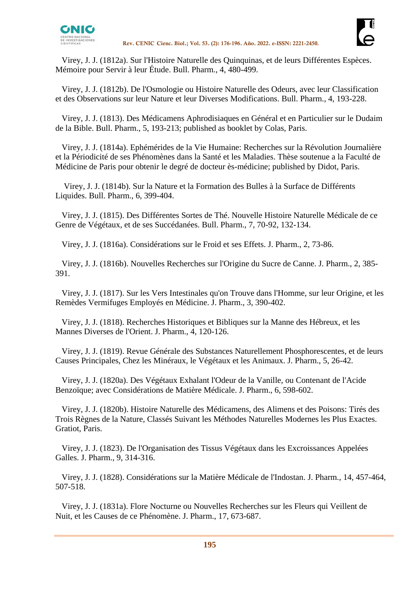



Virey, J. J. (1812a). Sur l'Histoire Naturelle des Quinquinas, et de leurs Différentes Espèces. Mémoire pour Servir à leur Étude. Bull. Pharm., 4, 480-499.

Virey, J. J. (1812b). De l'Osmologie ou Histoire Naturelle des Odeurs, avec leur Classification et des Observations sur leur Nature et leur Diverses Modifications. Bull. Pharm., 4, 193-228.

Virey, J. J. (1813). Des Médicamens Aphrodisiaques en Général et en Particulier sur le Dudaim de la Bible. Bull. Pharm., 5, 193-213; published as booklet by Colas, Paris.

Virey, J. J. (1814a). Ephémérides de la Vie Humaine: Recherches sur la Révolution Journalière et la Périodicité de ses Phénomènes dans la Santé et les Maladies. Thèse soutenue a la Faculté de Médicine de Paris pour obtenir le degré de docteur ès-médicine; published by Didot, Paris.

Virey, J. J. (1814b). Sur la Nature et la Formation des Bulles à la Surface de Différents Liquides. Bull. Pharm., 6, 399-404.

Virey, J. J. (1815). Des Différentes Sortes de Thé. Nouvelle Histoire Naturelle Médicale de ce Genre de Végétaux, et de ses Succédanées. Bull. Pharm., 7, 70-92, 132-134.

Virey, J. J. (1816a). Considérations sur le Froid et ses Effets. J. Pharm., 2, 73-86.

Virey, J. J. (1816b). Nouvelles Recherches sur l'Origine du Sucre de Canne. J. Pharm., 2, 385- 391.

Virey, J. J. (1817). Sur les Vers Intestinales qu'on Trouve dans l'Homme, sur leur Origine, et les Remèdes Vermifuges Employés en Médicine. J. Pharm., 3, 390-402.

Virey, J. J. (1818). Recherches Historiques et Bibliques sur la Manne des Hébreux, et les Mannes Diverses de l'Orient. J. Pharm., 4, 120-126.

Virey, J. J. (1819). Revue Générale des Substances Naturellement Phosphorescentes, et de leurs Causes Principales, Chez les Minéraux, le Végétaux et les Animaux. J. Pharm., 5, 26-42.

Virey, J. J. (1820a). Des Végétaux Exhalant l'Odeur de la Vanille, ou Contenant de l'Acide Benzoïque; avec Considérations de Matière Médicale. J. Pharm., 6, 598-602.

Virey, J. J. (1820b). Histoire Naturelle des Médicamens, des Alimens et des Poisons: Tirés des Trois Règnes de la Nature, Classés Suivant les Méthodes Naturelles Modernes les Plus Exactes. Gratiot, Paris.

Virey, J. J. (1823). De l'Organisation des Tissus Végétaux dans les Excroissances Appelées Galles. J. Pharm., 9, 314-316.

Virey, J. J. (1828). Considérations sur la Matière Médicale de l'Indostan. J. Pharm., 14, 457-464, 507-518.

Virey, J. J. (1831a). Flore Nocturne ou Nouvelles Recherches sur les Fleurs qui Veillent de Nuit, et les Causes de ce Phénomène. J. Pharm., 17, 673-687.